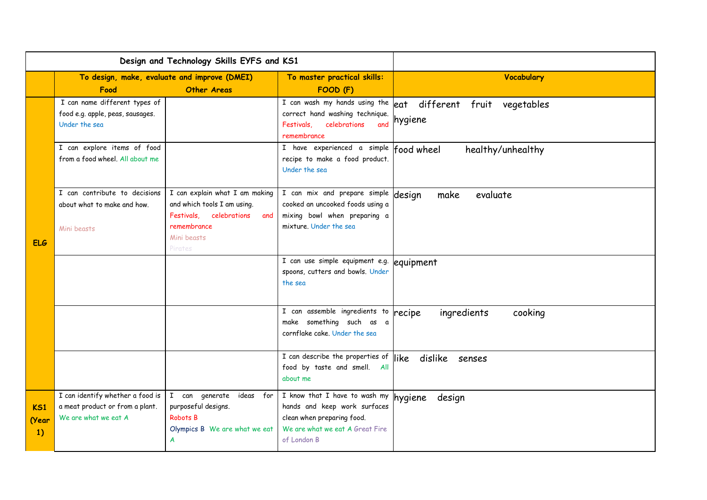| Design and Technology Skills EYFS and KS1 |                                                                                             |                                                                                                                                          |                                                                                                                                                       |                                              |
|-------------------------------------------|---------------------------------------------------------------------------------------------|------------------------------------------------------------------------------------------------------------------------------------------|-------------------------------------------------------------------------------------------------------------------------------------------------------|----------------------------------------------|
|                                           | Food                                                                                        | To design, make, evaluate and improve (DMEI)<br><b>Other Areas</b>                                                                       | To master practical skills:<br>FOOD (F)                                                                                                               | Vocabulary                                   |
| <b>ELG</b>                                | I can name different types of<br>food e.g. apple, peas, sausages.<br>Under the sea          |                                                                                                                                          | I can wash my hands using the<br>correct hand washing technique.<br>celebrations<br>and<br>Festivals,<br>remembrance                                  | eat different fruit<br>vegetables<br>hygiene |
|                                           | I can explore items of food<br>from a food wheel. All about me                              |                                                                                                                                          | I have experienced a simple food wheel<br>recipe to make a food product.<br>Under the sea                                                             | healthy/unhealthy                            |
|                                           | I can contribute to decisions<br>about what to make and how.<br>Mini beasts                 | I can explain what I am making<br>and which tools I am using.<br>Festivals, celebrations<br>and<br>remembrance<br>Mini beasts<br>Pirates | I can mix and prepare simple<br>cooked an uncooked foods using a<br>mixing bowl when preparing a<br>mixture. Under the sea                            | design<br>evaluate<br>make                   |
|                                           |                                                                                             |                                                                                                                                          | I can use simple equipment e.g. equipment<br>spoons, cutters and bowls. Under<br>the sea                                                              |                                              |
|                                           |                                                                                             |                                                                                                                                          | I can assemble ingredients to<br>make something such as a<br>cornflake cake. Under the sea                                                            | ingredients<br>cooking<br>recipe             |
|                                           |                                                                                             |                                                                                                                                          | $\overline{I}$ can describe the properties of $\parallel$ ike<br>food by taste and smell. All<br>about me                                             | dislike senses                               |
| KS1<br>(Year<br>1)                        | I can identify whether a food is<br>a meat product or from a plant.<br>We are what we eat A | I can generate ideas for<br>purposeful designs.<br>Robots B<br>Olympics B We are what we eat<br>A                                        | I know that I have to wash my hygiene<br>hands and keep work surfaces<br>clean when preparing food.<br>We are what we eat A Great Fire<br>of London B | design                                       |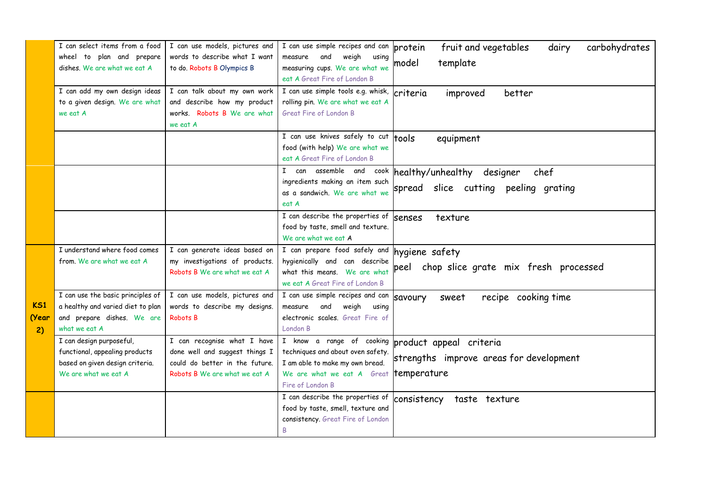|                           | I can select items from a food<br>wheel to plan and prepare<br>dishes. We are what we eat A<br>I can add my own design ideas<br>to a given design. We are what | I can use models, pictures and<br>words to describe what I want<br>to do. Robots B Olympics B<br>I can talk about my own work<br>and describe how my product | I can use simple recipes and can<br>weigh<br>measure<br>and<br>using<br>measuring cups. We are what we<br>eat A Great Fire of London B<br>I can use simple tools e.g. whisk,<br>rolling pin. We are what we eat A | fruit and vegetables<br>carbohydrates<br>dairy<br>protein<br>model<br>template<br>criteria<br>improved<br>better |
|---------------------------|----------------------------------------------------------------------------------------------------------------------------------------------------------------|--------------------------------------------------------------------------------------------------------------------------------------------------------------|-------------------------------------------------------------------------------------------------------------------------------------------------------------------------------------------------------------------|------------------------------------------------------------------------------------------------------------------|
|                           | we eat A                                                                                                                                                       | works. Robots B We are what<br>we eat A                                                                                                                      | Great Fire of London B<br>I can use knives safely to cut<br>food (with help) We are what we<br>eat A Great Fire of London B                                                                                       | tools<br>equipment                                                                                               |
|                           |                                                                                                                                                                |                                                                                                                                                              | can assemble and<br>$\mathbf{I}$<br>cook<br>ingredients making an item such<br>as a sandwich. We are what we<br>eat A                                                                                             | healthy/unhealthy designer<br>chef<br>spread slice cutting peeling grating                                       |
|                           |                                                                                                                                                                |                                                                                                                                                              | I can describe the properties of<br>food by taste, smell and texture.<br>We are what we eat A                                                                                                                     | texture<br>senses                                                                                                |
|                           | I understand where food comes<br>from. We are what we eat A                                                                                                    | I can generate ideas based on<br>my investigations of products.<br>Robots B We are what we eat A                                                             | I can prepare food safely and hygiene safety<br>hygienically and can describe<br>what this means. We are what<br>we eat A Great Fire of London B                                                                  | chop slice grate mix fresh processed<br>peel                                                                     |
| <b>KS1</b><br>(Year<br>2) | I can use the basic principles of<br>a healthy and varied diet to plan<br>and prepare dishes. We are<br>what we eat A                                          | I can use models, pictures and<br>words to describe my designs.<br>Robots B                                                                                  | I can use simple recipes and can<br>measure<br>and<br>weigh<br>using<br>electronic scales. Great Fire of<br>London B                                                                                              | recipe cooking time<br>savoury<br>sweet                                                                          |
|                           | I can design purposeful,<br>functional, appealing products<br>based on given design criteria.<br>We are what we eat A                                          | I can recognise what I have<br>done well and suggest things I<br>could do better in the future.<br>Robots B We are what we eat A                             | I know a range of cooking<br>techniques and about oven safety.<br>I am able to make my own bread.<br>We are what we eat A Great <b>temperature</b><br>Fire of London B                                            | product appeal criteria<br>strengths improve areas for development                                               |
|                           |                                                                                                                                                                |                                                                                                                                                              | I can describe the properties of<br>food by taste, smell, texture and<br>consistency. Great Fire of London<br>B                                                                                                   | consistency<br>taste texture                                                                                     |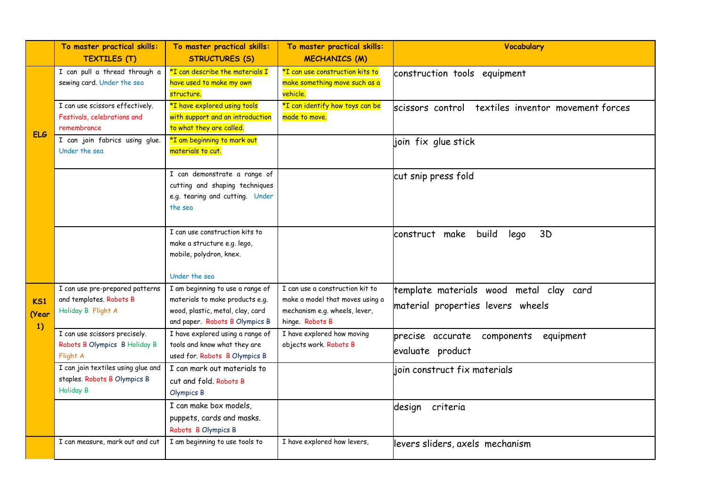|            | To master practical skills:                      | To master practical skills:                                       | To master practical skills:     | <b>Vocabulary</b>                                  |
|------------|--------------------------------------------------|-------------------------------------------------------------------|---------------------------------|----------------------------------------------------|
|            | <b>TEXTILES (T)</b>                              | <b>STRUCTURES (S)</b>                                             | <b>MECHANICS (M)</b>            |                                                    |
|            | I can pull a thread through a                    | *I can describe the materials I                                   | *I can use construction kits to | construction tools equipment                       |
|            | sewing card. Under the sea                       | have used to make my own                                          | make something move such as a   |                                                    |
|            |                                                  | structure.                                                        | vehicle.                        |                                                    |
|            | I can use scissors effectively.                  | *I have explored using tools                                      | *I can identify how toys can be | scissors control textiles inventor movement forces |
|            | Festivals, celebrations and                      | with support and an introduction                                  | made to move.                   |                                                    |
| <b>ELG</b> | remembrance                                      | to what they are called.                                          |                                 |                                                    |
|            | I can join fabrics using glue.                   | *I am beginning to mark out                                       |                                 | join fix glue stick                                |
|            | Under the sea                                    | materials to cut.                                                 |                                 |                                                    |
|            |                                                  |                                                                   |                                 |                                                    |
|            |                                                  | I can demonstrate a range of                                      |                                 | cut snip press fold                                |
|            |                                                  | cutting and shaping techniques<br>e.g. tearing and cutting. Under |                                 |                                                    |
|            |                                                  | the sea                                                           |                                 |                                                    |
|            |                                                  |                                                                   |                                 |                                                    |
|            |                                                  | I can use construction kits to                                    |                                 |                                                    |
|            |                                                  | make a structure e.g. lego,                                       |                                 | construct make<br>build<br>3D<br>lego              |
|            |                                                  | mobile, polydron, knex.                                           |                                 |                                                    |
|            |                                                  |                                                                   |                                 |                                                    |
|            |                                                  | Under the sea                                                     |                                 |                                                    |
|            | I can use pre-prepared patterns                  | I am beginning to use a range of                                  | I can use a construction kit to | template materials wood metal clay card            |
| K51        | and templates. Robots B                          | materials to make products e.g.                                   | make a model that moves using a | material properties levers wheels                  |
| (Year      | Holiday B Flight A                               | wood, plastic, metal, clay, card                                  | mechanism e.g. wheels, lever,   |                                                    |
| 1)         |                                                  | and paper. Robots B Olympics B                                    | hinge. Robots B                 |                                                    |
|            | I can use scissors precisely.                    | I have explored using a range of                                  | I have explored how moving      | precise accurate components equipment              |
|            | Robots B Olympics B Holiday B                    | tools and know what they are                                      | objects work. Robots B          | evaluate product                                   |
|            | Flight A                                         | used for. Robots B Olympics B                                     |                                 |                                                    |
|            | I can join textiles using glue and               | I can mark out materials to                                       |                                 | join construct fix materials                       |
|            | staples. Robots B Olympics B<br><b>Holiday B</b> | cut and fold. Robots B                                            |                                 |                                                    |
|            |                                                  | Olympics B                                                        |                                 |                                                    |
|            |                                                  | I can make box models,                                            |                                 | design criteria                                    |
|            |                                                  | puppets, cards and masks.                                         |                                 |                                                    |
|            |                                                  | Robots B Olympics B                                               |                                 |                                                    |
|            | I can measure, mark out and cut                  | I am beginning to use tools to                                    | I have explored how levers,     | levers sliders, axels mechanism                    |